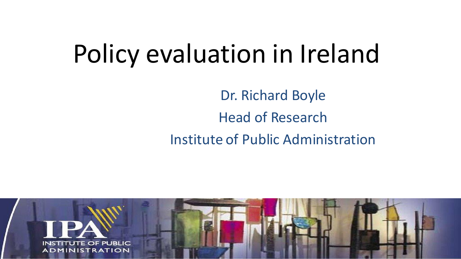### Policy evaluation in Ireland

Dr. Richard Boyle Head of Research Institute of Public Administration

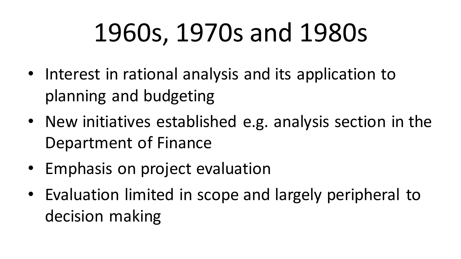## 1960s, 1970s and 1980s

- Interest in rational analysis and its application to planning and budgeting
- New initiatives established e.g. analysis section in the Department of Finance
- Emphasis on project evaluation
- Evaluation limited in scope and largely peripheral to decision making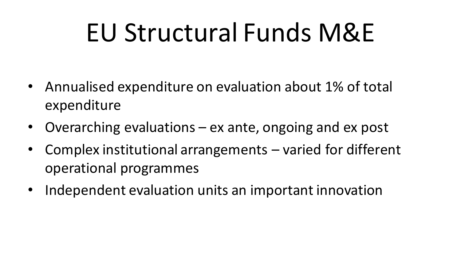## EU Structural Funds M&E

- Annualised expenditure on evaluation about 1% of total expenditure
- Overarching evaluations ex ante, ongoing and ex post
- Complex institutional arrangements varied for different operational programmes
- Independent evaluation units an important innovation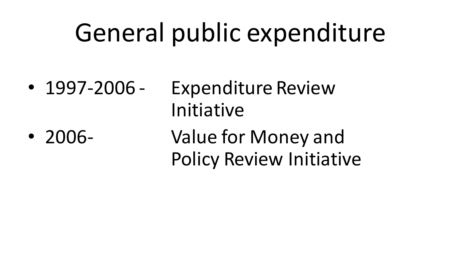## General public expenditure

• 1997-2006 - Expenditure Review Initiative • 2006- Value for Money and Policy Review Initiative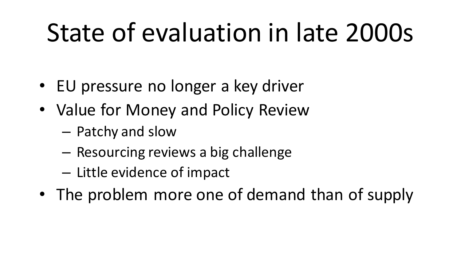## State of evaluation in late 2000s

- EU pressure no longer a key driver
- Value for Money and Policy Review
	- Patchy and slow
	- Resourcing reviews a big challenge
	- Little evidence of impact
- The problem more one of demand than of supply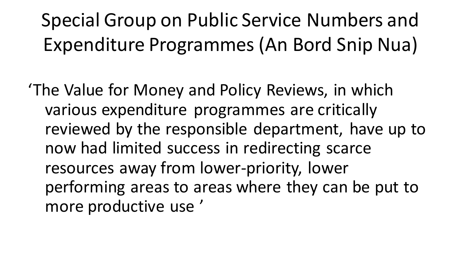#### Special Group on Public Service Numbers and Expenditure Programmes (An Bord Snip Nua)

'The Value for Money and Policy Reviews, in which various expenditure programmes are critically reviewed by the responsible department, have up to now had limited success in redirecting scarce resources away from lower-priority, lower performing areas to areas where they can be put to more productive use '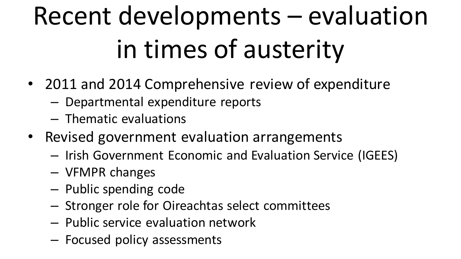# Recent developments – evaluation in times of austerity

- 2011 and 2014 Comprehensive review of expenditure
	- Departmental expenditure reports
	- Thematic evaluations
- Revised government evaluation arrangements
	- Irish Government Economic and Evaluation Service (IGEES)
	- VFMPR changes
	- Public spending code
	- Stronger role for Oireachtas select committees
	- Public service evaluation network
	- Focused policy assessments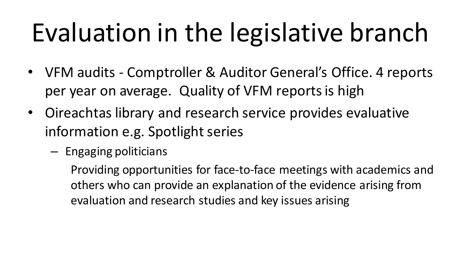# Evaluation in the legislative branch

- VFM audits Comptroller & Auditor General's Office. 4 reports per year on average. Quality of VFM reports is high
- Oireachtas library and research service provides evaluative information e.g. Spotlight series
	- Engaging politicians

Providing opportunities for face-to-face meetings with academics and others who can provide an explanation of the evidence arising from evaluation and research studies and key issues arising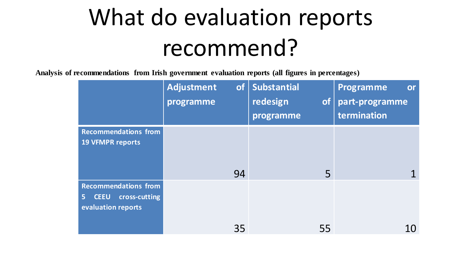## What do evaluation reports recommend?

**Analysis of recommendations from Irish government evaluation reports (all figures in percentages)**

|                                    | <b>Adjustment</b><br><b>of</b><br>programme | Substantial<br>redesign<br><b>of</b><br>programme | Programme<br>or<br>part-programme<br>termination |
|------------------------------------|---------------------------------------------|---------------------------------------------------|--------------------------------------------------|
| <b>Recommendations from</b>        |                                             |                                                   |                                                  |
| <b>19 VFMPR reports</b>            |                                             |                                                   |                                                  |
|                                    |                                             |                                                   |                                                  |
|                                    | 94                                          | 5                                                 |                                                  |
| <b>Recommendations from</b>        |                                             |                                                   |                                                  |
| cross-cutting<br><b>CEEU</b><br>5. |                                             |                                                   |                                                  |
| evaluation reports                 |                                             |                                                   |                                                  |
|                                    | 35                                          | 55                                                | 10                                               |
|                                    |                                             |                                                   |                                                  |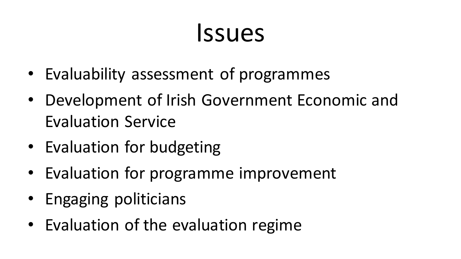### Issues

- Evaluability assessment of programmes
- Development of Irish Government Economic and Evaluation Service
- Evaluation for budgeting
- Evaluation for programme improvement
- Engaging politicians
- Evaluation of the evaluation regime